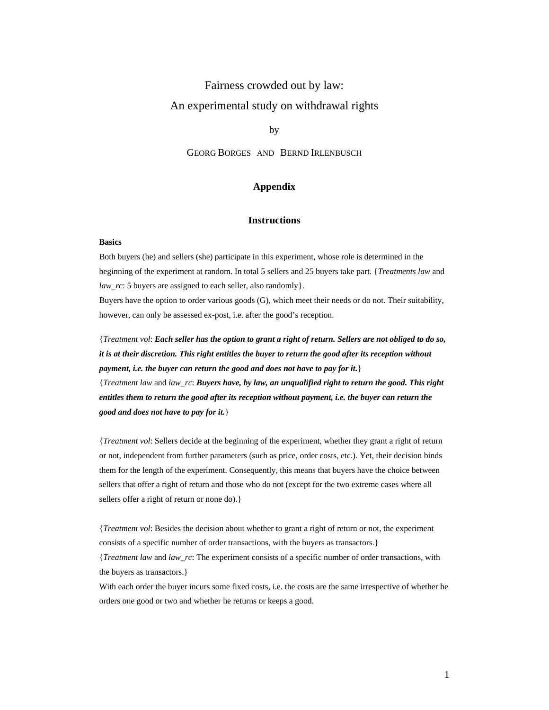# Fairness crowded out by law: An experimental study on withdrawal rights

by

GEORG BORGES AND BERND IRLENBUSCH

#### **Appendix**

#### **Instructions**

#### **Basics**

Both buyers (he) and sellers (she) participate in this experiment, whose role is determined in the beginning of the experiment at random. In total 5 sellers and 25 buyers take part. {*Treatments law* and *law\_rc*: 5 buyers are assigned to each seller, also randomly}.

Buyers have the option to order various goods (G), which meet their needs or do not. Their suitability, however, can only be assessed ex-post, i.e. after the good's reception.

{*Treatment vol*: *Each seller has the option to grant a right of return. Sellers are not obliged to do so, it is at their discretion. This right entitles the buyer to return the good after its reception without payment, i.e. the buyer can return the good and does not have to pay for it.*} {*Treatment law* and *law\_rc*: *Buyers have, by law, an unqualified right to return the good. This right entitles them to return the good after its reception without payment, i.e. the buyer can return the good and does not have to pay for it.*}

{*Treatment vol*: Sellers decide at the beginning of the experiment, whether they grant a right of return or not, independent from further parameters (such as price, order costs, etc.). Yet, their decision binds them for the length of the experiment. Consequently, this means that buyers have the choice between sellers that offer a right of return and those who do not (except for the two extreme cases where all sellers offer a right of return or none do).}

{*Treatment vol*: Besides the decision about whether to grant a right of return or not, the experiment consists of a specific number of order transactions, with the buyers as transactors.}

{*Treatment law* and *law\_rc*: The experiment consists of a specific number of order transactions, with the buyers as transactors.}

With each order the buyer incurs some fixed costs, i.e. the costs are the same irrespective of whether he orders one good or two and whether he returns or keeps a good.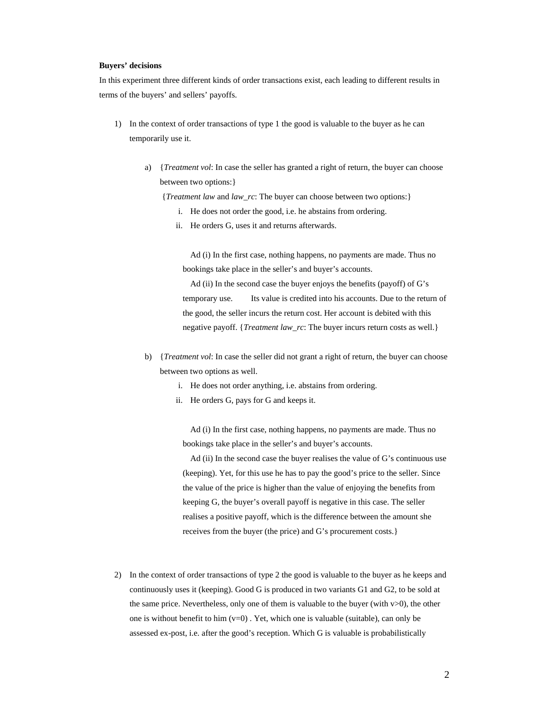#### **Buyers' decisions**

In this experiment three different kinds of order transactions exist, each leading to different results in terms of the buyers' and sellers' payoffs.

- 1) In the context of order transactions of type 1 the good is valuable to the buyer as he can temporarily use it.
	- a) {*Treatment vol*: In case the seller has granted a right of return, the buyer can choose between two options:}

{*Treatment law* and *law\_rc*: The buyer can choose between two options:}

- i. He does not order the good, i.e. he abstains from ordering.
- ii. He orders G, uses it and returns afterwards.

 Ad (i) In the first case, nothing happens, no payments are made. Thus no bookings take place in the seller's and buyer's accounts.

 Ad (ii) In the second case the buyer enjoys the benefits (payoff) of G's temporary use. Its value is credited into his accounts. Due to the return of the good, the seller incurs the return cost. Her account is debited with this negative payoff. {*Treatment law\_rc*: The buyer incurs return costs as well.}

- b) {*Treatment vol*: In case the seller did not grant a right of return, the buyer can choose between two options as well.
	- i. He does not order anything, i.e. abstains from ordering.
	- ii. He orders G, pays for G and keeps it.

 Ad (i) In the first case, nothing happens, no payments are made. Thus no bookings take place in the seller's and buyer's accounts.

 Ad (ii) In the second case the buyer realises the value of G's continuous use (keeping). Yet, for this use he has to pay the good's price to the seller. Since the value of the price is higher than the value of enjoying the benefits from keeping G, the buyer's overall payoff is negative in this case. The seller realises a positive payoff, which is the difference between the amount she receives from the buyer (the price) and G's procurement costs.}

2) In the context of order transactions of type 2 the good is valuable to the buyer as he keeps and continuously uses it (keeping). Good G is produced in two variants G1 and G2, to be sold at the same price. Nevertheless, only one of them is valuable to the buyer (with v>0), the other one is without benefit to him  $(v=0)$  . Yet, which one is valuable (suitable), can only be assessed ex-post, i.e. after the good's reception. Which G is valuable is probabilistically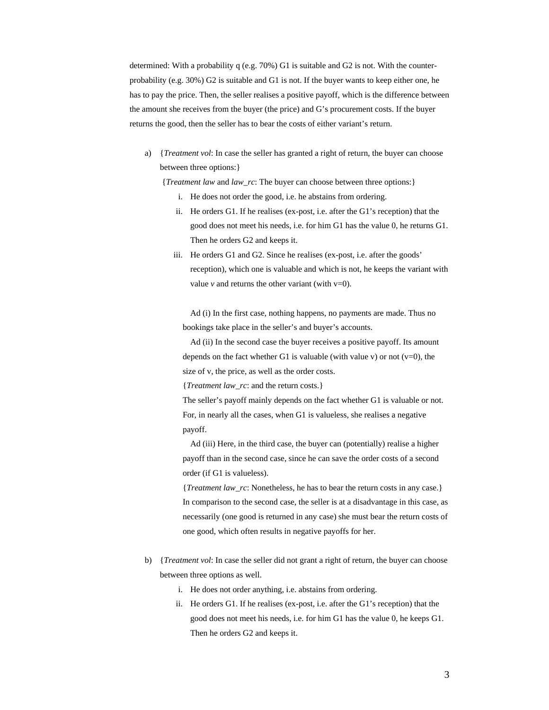determined: With a probability q (e.g. 70%) G1 is suitable and G2 is not. With the counterprobability (e.g. 30%) G2 is suitable and G1 is not. If the buyer wants to keep either one, he has to pay the price. Then, the seller realises a positive payoff, which is the difference between the amount she receives from the buyer (the price) and G's procurement costs. If the buyer returns the good, then the seller has to bear the costs of either variant's return.

a) {*Treatment vol*: In case the seller has granted a right of return, the buyer can choose between three options:}

{*Treatment law* and *law\_rc*: The buyer can choose between three options:}

- i. He does not order the good, i.e. he abstains from ordering.
- ii. He orders G1. If he realises (ex-post, i.e. after the G1's reception) that the good does not meet his needs, i.e. for him G1 has the value 0, he returns G1. Then he orders G2 and keeps it.
- iii. He orders G1 and G2. Since he realises (ex-post, i.e. after the goods' reception), which one is valuable and which is not, he keeps the variant with value  $\nu$  and returns the other variant (with  $\nu=0$ ).

 Ad (i) In the first case, nothing happens, no payments are made. Thus no bookings take place in the seller's and buyer's accounts.

 Ad (ii) In the second case the buyer receives a positive payoff. Its amount depends on the fact whether G1 is valuable (with value v) or not  $(v=0)$ , the size of v, the price, as well as the order costs.

{*Treatment law\_rc*: and the return costs.}

The seller's payoff mainly depends on the fact whether G1 is valuable or not. For, in nearly all the cases, when G1 is valueless, she realises a negative payoff.

 Ad (iii) Here, in the third case, the buyer can (potentially) realise a higher payoff than in the second case, since he can save the order costs of a second order (if G1 is valueless).

{*Treatment law\_rc*: Nonetheless, he has to bear the return costs in any case.} In comparison to the second case, the seller is at a disadvantage in this case, as necessarily (one good is returned in any case) she must bear the return costs of one good, which often results in negative payoffs for her.

- b) {*Treatment vol*: In case the seller did not grant a right of return, the buyer can choose between three options as well.
	- i. He does not order anything, i.e. abstains from ordering.
	- ii. He orders G1. If he realises (ex-post, i.e. after the G1's reception) that the good does not meet his needs, i.e. for him G1 has the value 0, he keeps G1. Then he orders G2 and keeps it.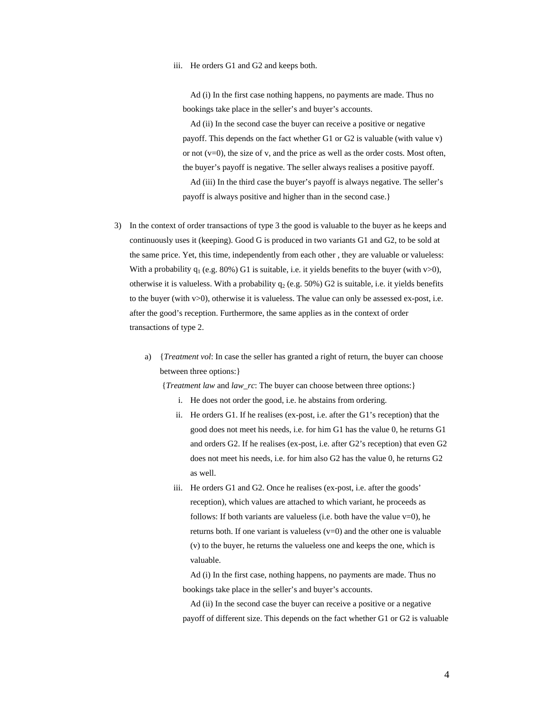#### iii. He orders G1 and G2 and keeps both.

 Ad (i) In the first case nothing happens, no payments are made. Thus no bookings take place in the seller's and buyer's accounts.

 Ad (ii) In the second case the buyer can receive a positive or negative payoff. This depends on the fact whether G1 or G2 is valuable (with value v) or not (v=0), the size of v, and the price as well as the order costs. Most often, the buyer's payoff is negative. The seller always realises a positive payoff. Ad (iii) In the third case the buyer's payoff is always negative. The seller's payoff is always positive and higher than in the second case.}

- 3) In the context of order transactions of type 3 the good is valuable to the buyer as he keeps and continuously uses it (keeping). Good G is produced in two variants G1 and G2, to be sold at the same price. Yet, this time, independently from each other , they are valuable or valueless: With a probability  $q_1$  (e.g. 80%) G1 is suitable, i.e. it yields benefits to the buyer (with v>0), otherwise it is valueless. With a probability  $q_2$  (e.g. 50%) G2 is suitable, i.e. it yields benefits to the buyer (with v>0), otherwise it is valueless. The value can only be assessed ex-post, i.e. after the good's reception. Furthermore, the same applies as in the context of order transactions of type 2.
	- a) {*Treatment vol*: In case the seller has granted a right of return, the buyer can choose between three options:}

{*Treatment law* and *law\_rc*: The buyer can choose between three options:}

- i. He does not order the good, i.e. he abstains from ordering.
- ii. He orders G1. If he realises (ex-post, i.e. after the G1's reception) that the good does not meet his needs, i.e. for him G1 has the value 0, he returns G1 and orders G2. If he realises (ex-post, i.e. after G2's reception) that even G2 does not meet his needs, i.e. for him also G2 has the value 0, he returns G2 as well.
- iii. He orders G1 and G2. Once he realises (ex-post, i.e. after the goods' reception), which values are attached to which variant, he proceeds as follows: If both variants are valueless (i.e. both have the value  $v=0$ ), he returns both. If one variant is valueless  $(v=0)$  and the other one is valuable (v) to the buyer, he returns the valueless one and keeps the one, which is valuable.

 Ad (i) In the first case, nothing happens, no payments are made. Thus no bookings take place in the seller's and buyer's accounts.

 Ad (ii) In the second case the buyer can receive a positive or a negative payoff of different size. This depends on the fact whether G1 or G2 is valuable

4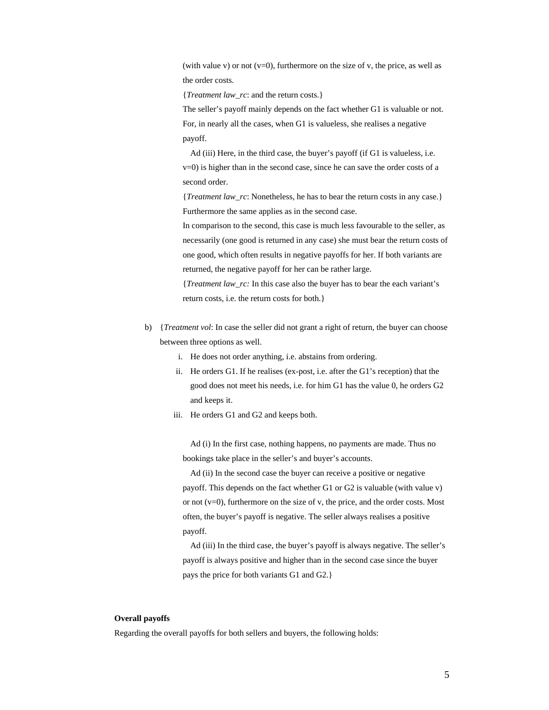(with value v) or not  $(v=0)$ , furthermore on the size of v, the price, as well as the order costs.

{*Treatment law\_rc*: and the return costs.}

The seller's payoff mainly depends on the fact whether G1 is valuable or not. For, in nearly all the cases, when G1 is valueless, she realises a negative payoff.

 Ad (iii) Here, in the third case, the buyer's payoff (if G1 is valueless, i.e. v=0) is higher than in the second case, since he can save the order costs of a second order.

{*Treatment law\_rc*: Nonetheless, he has to bear the return costs in any case.} Furthermore the same applies as in the second case.

In comparison to the second, this case is much less favourable to the seller, as necessarily (one good is returned in any case) she must bear the return costs of one good, which often results in negative payoffs for her. If both variants are returned, the negative payoff for her can be rather large.

{*Treatment law\_rc:* In this case also the buyer has to bear the each variant's return costs, i.e. the return costs for both.}

- b) {*Treatment vol*: In case the seller did not grant a right of return, the buyer can choose between three options as well.
	- i. He does not order anything, i.e. abstains from ordering.
	- ii. He orders G1. If he realises (ex-post, i.e. after the G1's reception) that the good does not meet his needs, i.e. for him G1 has the value 0, he orders G2 and keeps it.
	- iii. He orders G1 and G2 and keeps both.

 Ad (i) In the first case, nothing happens, no payments are made. Thus no bookings take place in the seller's and buyer's accounts.

 Ad (ii) In the second case the buyer can receive a positive or negative payoff. This depends on the fact whether G1 or G2 is valuable (with value v) or not (v=0), furthermore on the size of v, the price, and the order costs. Most often, the buyer's payoff is negative. The seller always realises a positive payoff.

 Ad (iii) In the third case, the buyer's payoff is always negative. The seller's payoff is always positive and higher than in the second case since the buyer pays the price for both variants G1 and G2.}

#### **Overall payoffs**

Regarding the overall payoffs for both sellers and buyers, the following holds: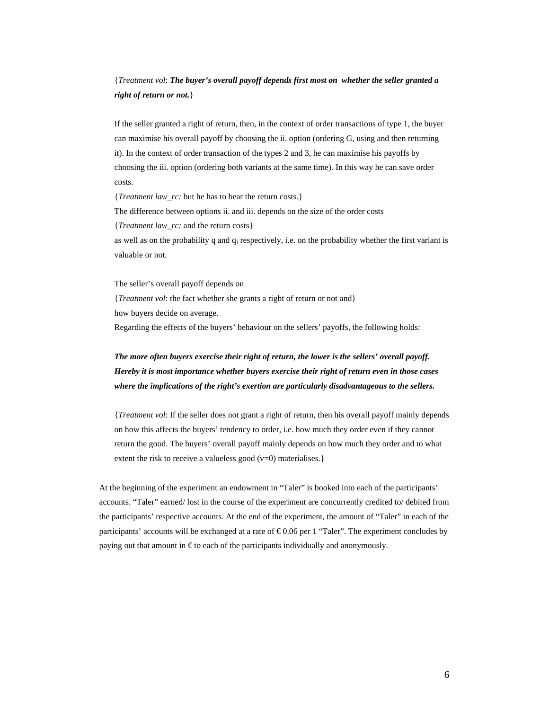## {*Treatment vol*: *The buyer's overall payoff depends first most on whether the seller granted a right of return or not.*}

If the seller granted a right of return, then, in the context of order transactions of type 1, the buyer can maximise his overall payoff by choosing the ii. option (ordering G, using and then returning it). In the context of order transaction of the types 2 and 3, he can maximise his payoffs by choosing the iii. option (ordering both variants at the same time). In this way he can save order costs.

{*Treatment law\_rc:* but he has to bear the return costs.} The difference between options ii. and iii. depends on the size of the order costs {*Treatment law\_rc:* and the return costs} as well as on the probability q and  $q_1$  respectively, i.e. on the probability whether the first variant is

The seller's overall payoff depends on

valuable or not.

{*Treatment vol*: the fact whether she grants a right of return or not and} how buyers decide on average.

Regarding the effects of the buyers' behaviour on the sellers' payoffs, the following holds:

## *The more often buyers exercise their right of return, the lower is the sellers' overall payoff. Hereby it is most importance whether buyers exercise their right of return even in those cases where the implications of the right's exertion are particularly disadvantageous to the sellers.*

{*Treatment vol*: If the seller does not grant a right of return, then his overall payoff mainly depends on how this affects the buyers' tendency to order, i.e. how much they order even if they cannot return the good. The buyers' overall payoff mainly depends on how much they order and to what extent the risk to receive a valueless good (v=0) materialises.}

At the beginning of the experiment an endowment in "Taler" is booked into each of the participants' accounts. "Taler" earned/ lost in the course of the experiment are concurrently credited to/ debited from the participants' respective accounts. At the end of the experiment, the amount of "Taler" in each of the participants' accounts will be exchanged at a rate of  $\epsilon$ 0.06 per 1 "Taler". The experiment concludes by paying out that amount in  $\epsilon$  to each of the participants individually and anonymously.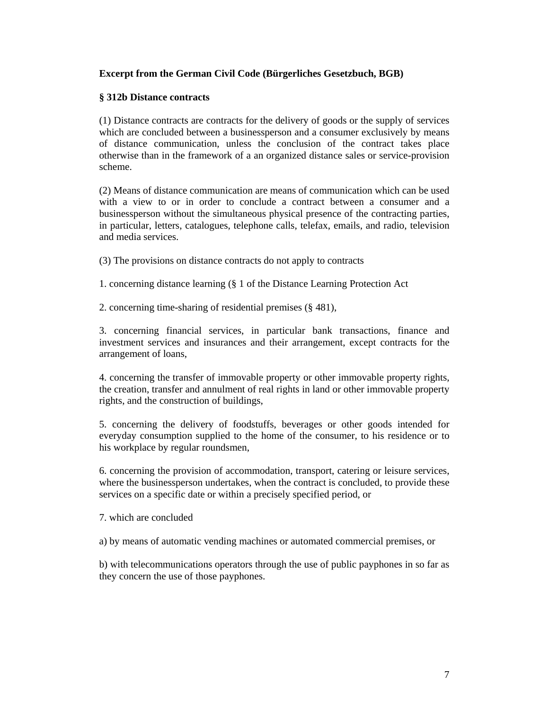## **Excerpt from the German Civil Code (Bürgerliches Gesetzbuch, BGB)**

## **§ 312b Distance contracts**

(1) Distance contracts are contracts for the delivery of goods or the supply of services which are concluded between a businessperson and a consumer exclusively by means of distance communication, unless the conclusion of the contract takes place otherwise than in the framework of a an organized distance sales or service-provision scheme.

(2) Means of distance communication are means of communication which can be used with a view to or in order to conclude a contract between a consumer and a businessperson without the simultaneous physical presence of the contracting parties, in particular, letters, catalogues, telephone calls, telefax, emails, and radio, television and media services.

(3) The provisions on distance contracts do not apply to contracts

1. concerning distance learning (§ 1 of the Distance Learning Protection Act

2. concerning time-sharing of residential premises (§ 481),

3. concerning financial services, in particular bank transactions, finance and investment services and insurances and their arrangement, except contracts for the arrangement of loans,

4. concerning the transfer of immovable property or other immovable property rights, the creation, transfer and annulment of real rights in land or other immovable property rights, and the construction of buildings,

5. concerning the delivery of foodstuffs, beverages or other goods intended for everyday consumption supplied to the home of the consumer, to his residence or to his workplace by regular roundsmen,

6. concerning the provision of accommodation, transport, catering or leisure services, where the businessperson undertakes, when the contract is concluded, to provide these services on a specific date or within a precisely specified period, or

7. which are concluded

a) by means of automatic vending machines or automated commercial premises, or

b) with telecommunications operators through the use of public payphones in so far as they concern the use of those payphones.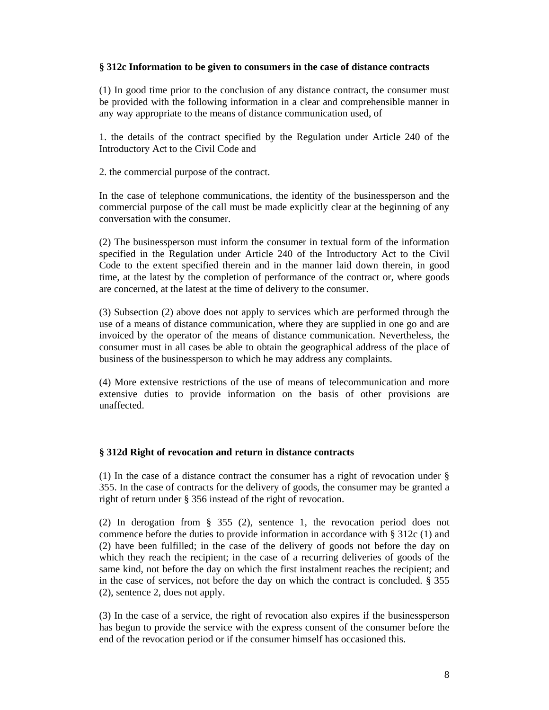## **§ 312c Information to be given to consumers in the case of distance contracts**

(1) In good time prior to the conclusion of any distance contract, the consumer must be provided with the following information in a clear and comprehensible manner in any way appropriate to the means of distance communication used, of

1. the details of the contract specified by the Regulation under Article 240 of the Introductory Act to the Civil Code and

2. the commercial purpose of the contract.

In the case of telephone communications, the identity of the businessperson and the commercial purpose of the call must be made explicitly clear at the beginning of any conversation with the consumer.

(2) The businessperson must inform the consumer in textual form of the information specified in the Regulation under Article 240 of the Introductory Act to the Civil Code to the extent specified therein and in the manner laid down therein, in good time, at the latest by the completion of performance of the contract or, where goods are concerned, at the latest at the time of delivery to the consumer.

(3) Subsection (2) above does not apply to services which are performed through the use of a means of distance communication, where they are supplied in one go and are invoiced by the operator of the means of distance communication. Nevertheless, the consumer must in all cases be able to obtain the geographical address of the place of business of the businessperson to which he may address any complaints.

(4) More extensive restrictions of the use of means of telecommunication and more extensive duties to provide information on the basis of other provisions are unaffected.

#### **§ 312d Right of revocation and return in distance contracts**

(1) In the case of a distance contract the consumer has a right of revocation under § 355. In the case of contracts for the delivery of goods, the consumer may be granted a right of return under § 356 instead of the right of revocation.

(2) In derogation from § 355 (2), sentence 1, the revocation period does not commence before the duties to provide information in accordance with § 312c (1) and (2) have been fulfilled; in the case of the delivery of goods not before the day on which they reach the recipient; in the case of a recurring deliveries of goods of the same kind, not before the day on which the first instalment reaches the recipient; and in the case of services, not before the day on which the contract is concluded. § 355 (2), sentence 2, does not apply.

(3) In the case of a service, the right of revocation also expires if the businessperson has begun to provide the service with the express consent of the consumer before the end of the revocation period or if the consumer himself has occasioned this.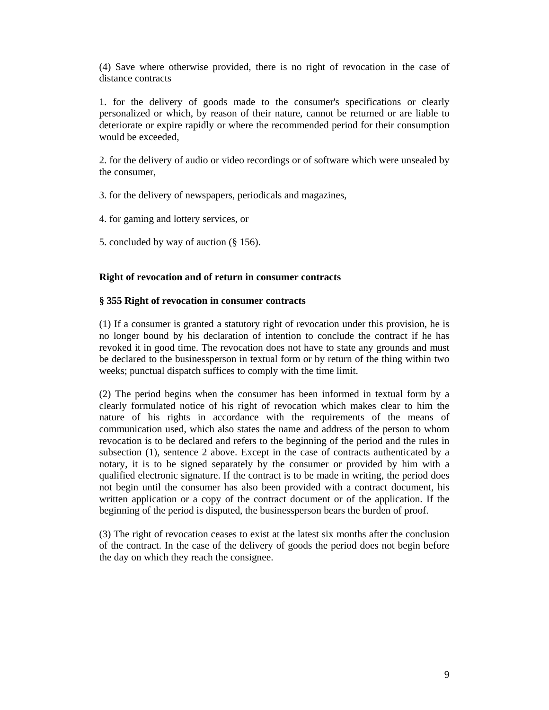(4) Save where otherwise provided, there is no right of revocation in the case of distance contracts

1. for the delivery of goods made to the consumer's specifications or clearly personalized or which, by reason of their nature, cannot be returned or are liable to deteriorate or expire rapidly or where the recommended period for their consumption would be exceeded,

2. for the delivery of audio or video recordings or of software which were unsealed by the consumer,

3. for the delivery of newspapers, periodicals and magazines,

4. for gaming and lottery services, or

5. concluded by way of auction (§ 156).

## **Right of revocation and of return in consumer contracts**

## **§ 355 Right of revocation in consumer contracts**

(1) If a consumer is granted a statutory right of revocation under this provision, he is no longer bound by his declaration of intention to conclude the contract if he has revoked it in good time. The revocation does not have to state any grounds and must be declared to the businessperson in textual form or by return of the thing within two weeks; punctual dispatch suffices to comply with the time limit.

(2) The period begins when the consumer has been informed in textual form by a clearly formulated notice of his right of revocation which makes clear to him the nature of his rights in accordance with the requirements of the means of communication used, which also states the name and address of the person to whom revocation is to be declared and refers to the beginning of the period and the rules in subsection (1), sentence 2 above. Except in the case of contracts authenticated by a notary, it is to be signed separately by the consumer or provided by him with a qualified electronic signature. If the contract is to be made in writing, the period does not begin until the consumer has also been provided with a contract document, his written application or a copy of the contract document or of the application. If the beginning of the period is disputed, the businessperson bears the burden of proof.

(3) The right of revocation ceases to exist at the latest six months after the conclusion of the contract. In the case of the delivery of goods the period does not begin before the day on which they reach the consignee.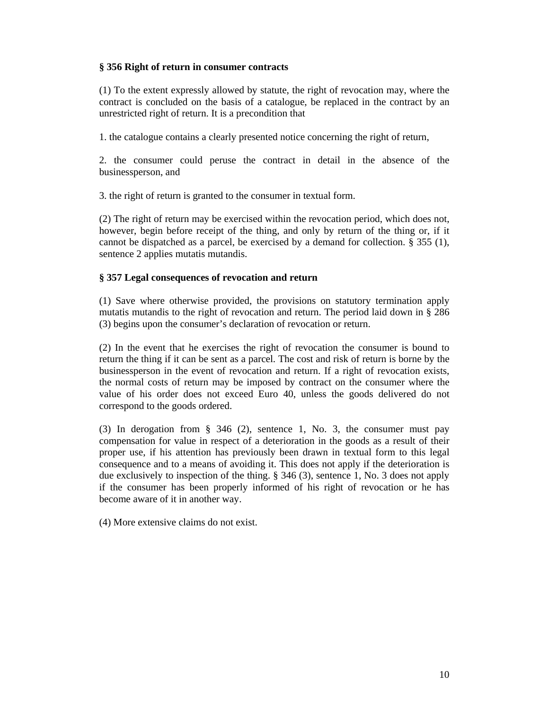## **§ 356 Right of return in consumer contracts**

(1) To the extent expressly allowed by statute, the right of revocation may, where the contract is concluded on the basis of a catalogue, be replaced in the contract by an unrestricted right of return. It is a precondition that

1. the catalogue contains a clearly presented notice concerning the right of return,

2. the consumer could peruse the contract in detail in the absence of the businessperson, and

3. the right of return is granted to the consumer in textual form.

(2) The right of return may be exercised within the revocation period, which does not, however, begin before receipt of the thing, and only by return of the thing or, if it cannot be dispatched as a parcel, be exercised by a demand for collection. § 355 (1), sentence 2 applies mutatis mutandis.

## **§ 357 Legal consequences of revocation and return**

(1) Save where otherwise provided, the provisions on statutory termination apply mutatis mutandis to the right of revocation and return. The period laid down in § 286 (3) begins upon the consumer's declaration of revocation or return.

(2) In the event that he exercises the right of revocation the consumer is bound to return the thing if it can be sent as a parcel. The cost and risk of return is borne by the businessperson in the event of revocation and return. If a right of revocation exists, the normal costs of return may be imposed by contract on the consumer where the value of his order does not exceed Euro 40, unless the goods delivered do not correspond to the goods ordered.

(3) In derogation from § 346 (2), sentence 1, No. 3, the consumer must pay compensation for value in respect of a deterioration in the goods as a result of their proper use, if his attention has previously been drawn in textual form to this legal consequence and to a means of avoiding it. This does not apply if the deterioration is due exclusively to inspection of the thing. § 346 (3), sentence 1, No. 3 does not apply if the consumer has been properly informed of his right of revocation or he has become aware of it in another way.

(4) More extensive claims do not exist.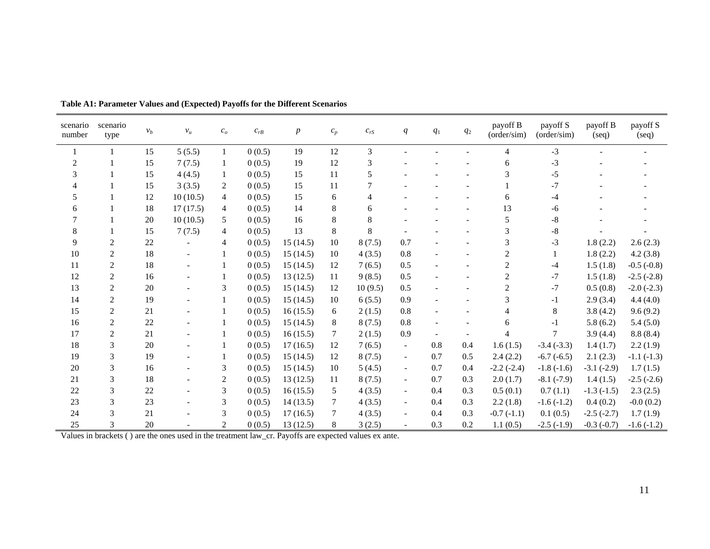| scenario<br>number | scenario<br>type | $v_b$ | $v_u$    | c <sub>o</sub> | $C_{rB}$ | $\boldsymbol{p}$ | $\boldsymbol{c}_p$ | $c_{rS}$ | q                        | $q_{\rm 1}$ | $\mathfrak{q}_2$         | payoff B<br>(order/sim) | payoff S<br>(order/sim) | payoff B<br>(seq) | payoff S<br>(seq) |
|--------------------|------------------|-------|----------|----------------|----------|------------------|--------------------|----------|--------------------------|-------------|--------------------------|-------------------------|-------------------------|-------------------|-------------------|
| 1                  | -1               | 15    | 5(5.5)   | 1              | 0(0.5)   | 19               | 12                 | 3        |                          |             |                          | 4                       | $-3$                    |                   |                   |
| $\overline{2}$     |                  | 15    | 7(7.5)   |                | 0(0.5)   | 19               | 12                 | 3        |                          |             |                          | 6                       | $-3$                    |                   |                   |
| 3                  |                  | 15    | 4(4.5)   | 1              | 0(0.5)   | 15               | 11                 | 5        |                          |             |                          | 3                       | $-5$                    |                   |                   |
|                    |                  | 15    | 3(3.5)   | 2              | 0(0.5)   | 15               | 11                 |          |                          |             |                          |                         | $-7$                    |                   |                   |
| 5                  |                  | 12    | 10(10.5) | 4              | 0(0.5)   | 15               | 6                  | 4        |                          |             |                          | 6                       | -4                      |                   |                   |
| 6                  |                  | 18    | 17(17.5) | 4              | 0(0.5)   | 14               | 8                  | 6        |                          |             |                          | 13                      | -6                      |                   |                   |
|                    |                  | 20    | 10(10.5) | 5              | 0(0.5)   | 16               | 8                  | 8        |                          |             |                          | 5                       | $-8$                    |                   |                   |
| 8                  |                  | 15    | 7(7.5)   | 4              | 0(0.5)   | 13               | 8                  | 8        |                          |             |                          | 3                       | -8                      |                   |                   |
| 9                  | $\overline{c}$   | 22    |          | 4              | 0(0.5)   | 15(14.5)         | 10                 | 8(7.5)   | 0.7                      |             |                          | 3                       | $-3$                    | 1.8(2.2)          | 2.6(2.3)          |
| 10                 | $\overline{2}$   | 18    |          |                | 0(0.5)   | 15(14.5)         | 10                 | 4(3.5)   | 0.8                      |             |                          | $\overline{c}$          |                         | 1.8(2.2)          | 4.2(3.8)          |
| 11                 | 2                | 18    |          |                | 0(0.5)   | 15(14.5)         | 12                 | 7(6.5)   | 0.5                      |             |                          | $\overline{c}$          | -4                      | 1.5(1.8)          | $-0.5(-0.8)$      |
| 12                 | $\boldsymbol{2}$ | 16    |          |                | 0(0.5)   | 13(12.5)         | 11                 | 9(8.5)   | 0.5                      |             | $\overline{\phantom{a}}$ | $\overline{c}$          | $-7$                    | 1.5(1.8)          | $-2.5$ $(-2.8)$   |
| 13                 | $\overline{2}$   | 20    |          | 3              | 0(0.5)   | 15(14.5)         | 12                 | 10(9.5)  | 0.5                      |             |                          | 2                       | $-7$                    | 0.5(0.8)          | $-2.0$ $(-2.3)$   |
| 14                 | $\sqrt{2}$       | 19    |          |                | 0(0.5)   | 15(14.5)         | 10                 | 6(5.5)   | 0.9                      |             |                          | 3                       | $-1$                    | 2.9(3.4)          | 4.4(4.0)          |
| 15                 | $\overline{2}$   | 21    |          |                | 0(0.5)   | 16(15.5)         | 6                  | 2(1.5)   | 0.8                      |             |                          | 4                       | 8                       | 3.8(4.2)          | 9.6(9.2)          |
| 16                 | 2                | 22    |          |                | 0(0.5)   | 15(14.5)         | 8                  | 8(7.5)   | 0.8                      |             |                          | 6                       | $-1$                    | 5.8(6.2)          | 5.4(5.0)          |
| 17                 | $\mathbf 2$      | 21    |          |                | 0(0.5)   | 16(15.5)         | 7                  | 2(1.5)   | 0.9                      |             | $\overline{\phantom{a}}$ | 4                       |                         | 3.9(4.4)          | 8.8(8.4)          |
| 18                 | 3                | 20    |          |                | 0(0.5)   | 17(16.5)         | 12                 | 7(6.5)   | $\overline{\phantom{a}}$ | 0.8         | 0.4                      | 1.6(1.5)                | $-3.4(-3.3)$            | 1.4(1.7)          | 2.2(1.9)          |
| 19                 | 3                | 19    |          |                | 0(0.5)   | 15(14.5)         | 12                 | 8(7.5)   | $\overline{\phantom{a}}$ | 0.7         | 0.5                      | 2.4(2.2)                | $-6.7(-6.5)$            | 2.1(2.3)          | $-1.1(-1.3)$      |
| 20                 | 3                | 16    |          | 3              | 0(0.5)   | 15(14.5)         | 10                 | 5(4.5)   | $\overline{\phantom{a}}$ | 0.7         | 0.4                      | $-2.2(-2.4)$            | $-1.8(-1.6)$            | $-3.1(-2.9)$      | 1.7(1.5)          |
| 21                 | 3                | 18    |          | 2              | 0(0.5)   | 13(12.5)         | 11                 | 8(7.5)   | $\overline{\phantom{a}}$ | 0.7         | 0.3                      | 2.0(1.7)                | $-8.1(-7.9)$            | 1.4(1.5)          | $-2.5(-2.6)$      |
| 22                 | 3                | 22    |          | 3              | 0(0.5)   | 16(15.5)         | 5                  | 4(3.5)   | $\overline{\phantom{a}}$ | 0.4         | 0.3                      | 0.5(0.1)                | 0.7(1.1)                | $-1.3(-1.5)$      | 2.3(2.5)          |
| 23                 | 3                | 23    |          | 3              | 0(0.5)   | 14(13.5)         | 7                  | 4(3.5)   | $\overline{\phantom{a}}$ | 0.4         | 0.3                      | 2.2(1.8)                | $-1.6(-1.2)$            | 0.4(0.2)          | $-0.0(0.2)$       |
| 24                 | 3                | 21    |          | 3              | 0(0.5)   | 17(16.5)         | 7                  | 4(3.5)   | $\overline{\phantom{a}}$ | 0.4         | 0.3                      | $-0.7(-1.1)$            | 0.1(0.5)                | $-2.5(-2.7)$      | 1.7(1.9)          |
| 25                 | 3                | 20    |          | 2              | 0(0.5)   | 13(12.5)         | 8                  | 3(2.5)   | $\overline{\phantom{a}}$ | 0.3         | 0.2                      | 1.1(0.5)                | $-2.5(-1.9)$            | $-0.3(-0.7)$      | $-1.6(-1.2)$      |

**Table A1: Parameter Values and (Expected) Payoffs for the Different Scenarios** 

Values in brackets ( ) are the ones used in the treatment law\_cr. Payoffs are expected values ex ante.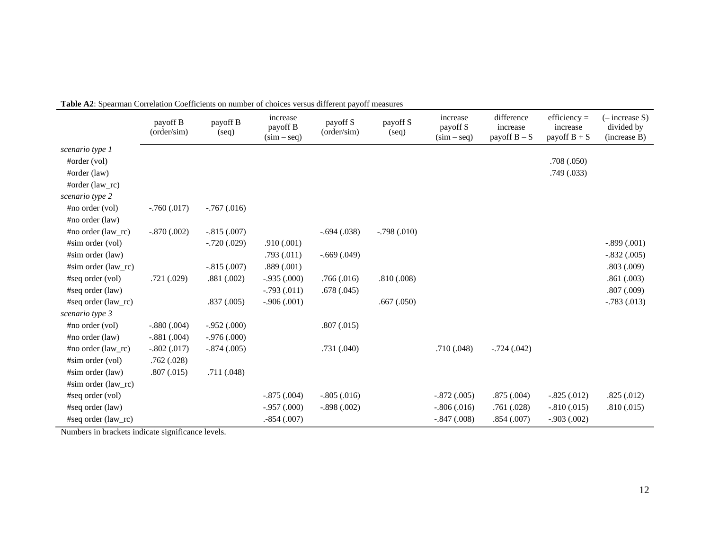|                             | payoff B<br>(order/sim) | payoff B<br>(seq) | increase<br>payoff B<br>$(sim - seq)$ | payoff S<br>(order/sim) | payoff S<br>(seq) | increase<br>payoff S<br>$(sim - seq)$ | difference<br>increase<br>payoff $B - S$ | $efficiency =$<br>increase<br>payoff $B + S$ | (– increase S)<br>divided by<br>(increase B) |
|-----------------------------|-------------------------|-------------------|---------------------------------------|-------------------------|-------------------|---------------------------------------|------------------------------------------|----------------------------------------------|----------------------------------------------|
| scenario type 1             |                         |                   |                                       |                         |                   |                                       |                                          |                                              |                                              |
| #order (vol)                |                         |                   |                                       |                         |                   |                                       |                                          | .708(.050)                                   |                                              |
| $\# \text{order (law)}$     |                         |                   |                                       |                         |                   |                                       |                                          | .749(.033)                                   |                                              |
| $\# \text{order (law_rc)}$  |                         |                   |                                       |                         |                   |                                       |                                          |                                              |                                              |
| scenario type 2             |                         |                   |                                       |                         |                   |                                       |                                          |                                              |                                              |
| #no order (vol)             | $-.760(.017)$           | $-.767(.016)$     |                                       |                         |                   |                                       |                                          |                                              |                                              |
| $\#no\ order\ (law)$        |                         |                   |                                       |                         |                   |                                       |                                          |                                              |                                              |
| $\#no\ order\ (law\_rc)$    | $-.870(.002)$           | $-.815(.007)$     |                                       | $-.694(.038)$           | $-.798(.010)$     |                                       |                                          |                                              |                                              |
| #sim order (vol)            |                         | $-.720(.029)$     | .910(.001)                            |                         |                   |                                       |                                          |                                              | $-.899(.001)$                                |
| #sim order (law)            |                         |                   | .793(.011)                            | $-.669(.049)$           |                   |                                       |                                          |                                              | $-.832(.005)$                                |
| $#sim\space$ order (law rc) |                         | $-.815(.007)$     | .889(.001)                            |                         |                   |                                       |                                          |                                              | .803(.009)                                   |
| #seq order (vol)            | .721(.029)              | .881(.002)        | $-.935(.000)$                         | .766(.016)              | .810(.008)        |                                       |                                          |                                              | .861(.003)                                   |
| #seq order (law)            |                         |                   | $-.793(.011)$                         | .678(.045)              |                   |                                       |                                          |                                              | .807(.009)                                   |
| #seq order (law_rc)         |                         | .837(.005)        | $-.906(.001)$                         |                         | .667(.050)        |                                       |                                          |                                              | $-.783(.013)$                                |
| scenario type 3             |                         |                   |                                       |                         |                   |                                       |                                          |                                              |                                              |
| $\#no\ order\ (vol)$        | $-.880(.004)$           | $-.952(.000)$     |                                       | .807(.015)              |                   |                                       |                                          |                                              |                                              |
| $\#no\ order\ (law)$        | $-.881(.004)$           | $-.976(.000)$     |                                       |                         |                   |                                       |                                          |                                              |                                              |
| $\#no\ order\ (law\_rc)$    | $-.802(.017)$           | $-.874(.005)$     |                                       | .731(.040)              |                   | .710(.048)                            | $-.724(.042)$                            |                                              |                                              |
| $#sim\ order\ (vol)$        | .762(.028)              |                   |                                       |                         |                   |                                       |                                          |                                              |                                              |
| $#sim\ order\ (law)$        | .807(.015)              | .711(.048)        |                                       |                         |                   |                                       |                                          |                                              |                                              |
| $#sim\space$ order (law_rc) |                         |                   |                                       |                         |                   |                                       |                                          |                                              |                                              |
| #seq order (vol)            |                         |                   | $-.875(.004)$                         | $-.805(.016)$           |                   | $-.872(.005)$                         | .875(.004)                               | $-.825(.012)$                                | .825(.012)                                   |
| #seq order (law)            |                         |                   | $-.957(.000)$                         | $-.898(.002)$           |                   | $-.806(.016)$                         | .761(.028)                               | $-.810(.015)$                                | .810(.015)                                   |
| #seq order (law_rc)         |                         |                   | $-854(.007)$                          |                         |                   | $-.847(.008)$                         | .854(.007)                               | $-.903(.002)$                                |                                              |

**Table A2**: Spearman Correlation Coefficients on number of choices versus different payoff measures

Numbers in brackets indicate significance levels.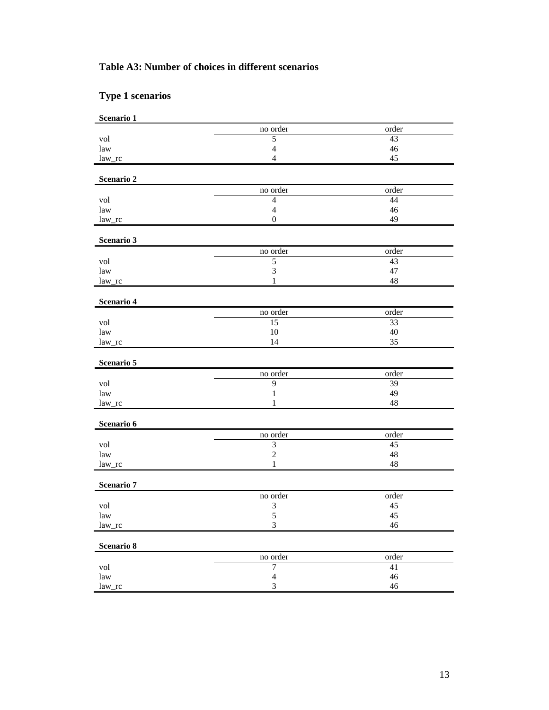# **Table A3: Number of choices in different scenarios**

# **Type 1 scenarios**

| Scenario 1                |                         |                 |
|---------------------------|-------------------------|-----------------|
|                           | no order                | order           |
| vol                       | $\overline{5}$          | 43              |
| law                       | $\overline{4}$          | 46              |
| $law\_rc$                 | $\overline{4}$          | 45              |
| Scenario 2                |                         |                 |
|                           | no order                | order           |
| vol                       | $\overline{4}$          | 44              |
| law                       | $\overline{4}$          | 46              |
| $law\_rc$                 | $\boldsymbol{0}$        | 49              |
| Scenario 3                |                         |                 |
|                           | no order                | order           |
| vol                       | $\mathfrak s$           | 43              |
| law                       | $\mathfrak{Z}$          | 47              |
| law_rc                    | 1                       | 48              |
| Scenario 4                |                         |                 |
|                           | no order                | order           |
| vol                       | 15                      | 33              |
| law                       | 10                      | 40              |
| $law\_rc$                 | 14                      | 35              |
| Scenario 5                |                         |                 |
|                           | no order                | order           |
| vol                       | 9                       | 39              |
| law                       | $\mathbf{1}$            | 49              |
| law_rc                    | 1                       | 48              |
| Scenario 6                |                         |                 |
|                           | no order                | order           |
| vol                       | $\sqrt{3}$              | 45              |
| law                       | $\boldsymbol{2}$        | 48              |
| law_rc                    | $\mathbf{1}$            | 48              |
| Scenario 7                |                         |                 |
|                           | no order                | order           |
| vol                       | $\overline{\mathbf{3}}$ | $\overline{45}$ |
| law                       | 5                       | 45              |
| law_rc                    | $\mathfrak{Z}$          | $46\,$          |
| Scenario 8                |                         |                 |
|                           | no order                | order           |
| vol                       | $\tau$                  | 41              |
| $\ensuremath{\text{law}}$ | $\overline{4}$          | $46\,$          |
| law_rc                    | 3                       | $46\,$          |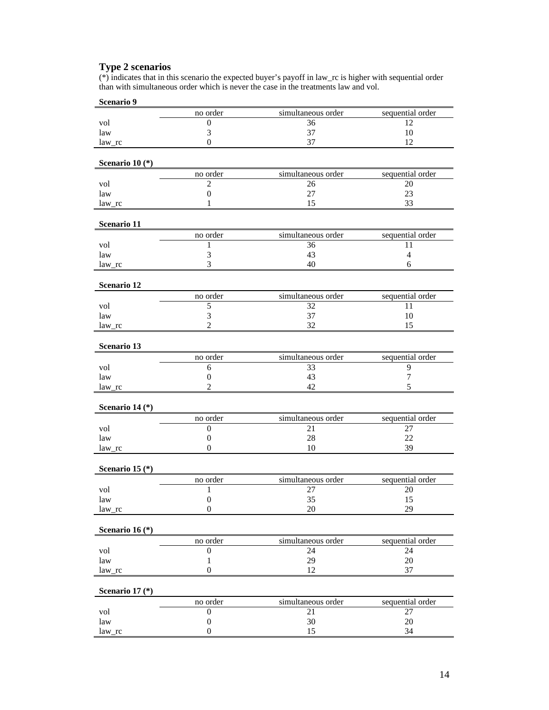# **Type 2 scenarios**

(\*) indicates that in this scenario the expected buyer's payoff in law\_rc is higher with sequential order than with simultaneous order which is never the case in the treatments law and vol.

| Scenario 9                 |                  |                    |                  |
|----------------------------|------------------|--------------------|------------------|
|                            | no order         | simultaneous order | sequential order |
| vol                        | 0                | 36                 | 12               |
| law                        | 3                | 37                 | 10               |
| $law\_rc$                  | $\theta$         | 37                 | 12               |
| Scenario 10 $(*)$          |                  |                    |                  |
|                            | no order         | simultaneous order | sequential order |
| vol                        | $\overline{2}$   | 26                 | 20               |
| law                        | $\boldsymbol{0}$ | 27                 | 23               |
| law rc                     | 1                | 15                 | 33               |
| Scenario 11                |                  |                    |                  |
|                            | no order         | simultaneous order | sequential order |
| vol                        | 1                | 36                 | 11               |
| law                        | 3                | 43                 | $\overline{4}$   |
| $law\_rc$                  | 3                | 40                 | 6                |
| Scenario 12                |                  |                    |                  |
|                            | no order         | simultaneous order | sequential order |
| vol                        | 5                | 32                 | 11               |
| law                        | 3                | 37                 | 10               |
| $law\_rc$                  | $\overline{c}$   | 32                 | 15               |
| Scenario 13                |                  |                    |                  |
|                            | no order         | simultaneous order | sequential order |
| vol                        | 6                | 33                 | 9                |
| law                        | $\boldsymbol{0}$ | 43                 | 7                |
| $law\_rc$                  | $\overline{c}$   | 42                 | 5                |
| Scenario 14 (*)            |                  |                    |                  |
|                            | no order         | simultaneous order | sequential order |
| vol                        | 0                | 21                 | 27               |
| law                        | 0                | 28                 | 22               |
| law rc                     | $\mathbf{0}$     | 10                 | 39               |
| Scenario 15 $(*)$          |                  |                    |                  |
|                            | no order         | simultaneous order | sequential order |
| vol                        | $\mathbf{1}$     | 27                 | 20               |
| law                        | $\boldsymbol{0}$ | 35                 | 15               |
| law_rc                     | $\boldsymbol{0}$ | 20                 | 29               |
| Scenario 16 <sup>(*)</sup> |                  |                    |                  |
|                            | no order         | simultaneous order | sequential order |
| vol                        | $\boldsymbol{0}$ | 24                 | 24               |
| law                        | $\mathbf{1}$     | 29                 | $20\,$           |
| law_rc                     | $\boldsymbol{0}$ | 12                 | 37               |
| Scenario 17 (*)            |                  |                    |                  |
|                            | no order         | simultaneous order | sequential order |
| vol                        | $\boldsymbol{0}$ | 21                 | 27               |
| law                        | $\boldsymbol{0}$ | $30\,$             | $20\,$           |
| law_rc                     | $\boldsymbol{0}$ | 15                 | 34               |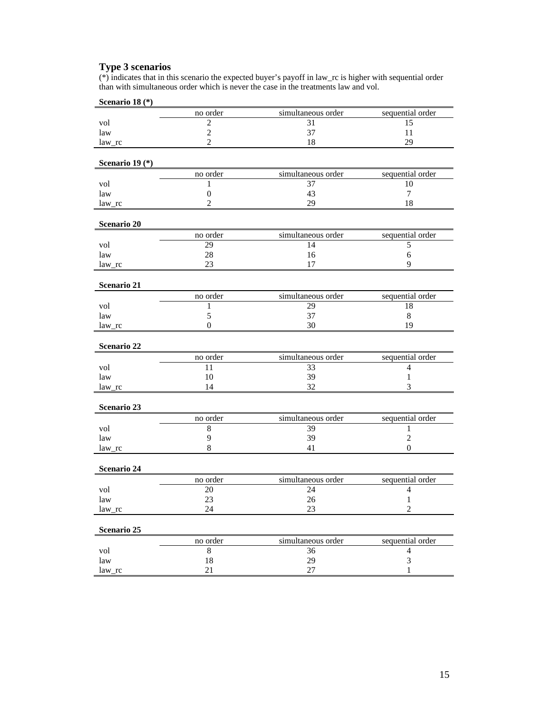# **Type 3 scenarios**

(\*) indicates that in this scenario the expected buyer's payoff in law\_rc is higher with sequential order than with simultaneous order which is never the case in the treatments law and vol.

| Scenario 18 <sup>(*)</sup> |                  |                    |                  |
|----------------------------|------------------|--------------------|------------------|
|                            | no order         | simultaneous order | sequential order |
| vol                        | $\overline{2}$   | 31                 | 15               |
| law                        | $\overline{2}$   | 37                 | 11               |
| $law\_rc$                  | $\overline{2}$   | 18                 | 29               |
|                            |                  |                    |                  |
| Scenario 19 <sup>(*)</sup> |                  |                    |                  |
|                            | no order         | simultaneous order | sequential order |
| vol                        | 1                | 37                 | 10               |
| law                        | $\boldsymbol{0}$ | 43                 | 7                |
| law rc                     | $\overline{2}$   | 29                 | 18               |
| Scenario 20                |                  |                    |                  |
|                            | no order         | simultaneous order | sequential order |
| vol                        | 29               | 14                 | 5                |
| law                        | 28               | 16                 | 6                |
| law_rc                     | 23               | 17                 | 9                |
|                            |                  |                    |                  |
| Scenario 21                |                  |                    |                  |
|                            | no order         | simultaneous order | sequential order |
| vol                        | 1                | 29                 | 18               |
| law                        | 5                | 37                 | 8                |
| law rc                     | $\mathbf{0}$     | 30                 | 19               |
| Scenario 22                |                  |                    |                  |
|                            | no order         | simultaneous order | sequential order |
| vol                        | 11               | 33                 | $\overline{4}$   |
| law                        | 10               | 39                 | 1                |
| law_rc                     | 14               | 32                 | 3                |
| Scenario 23                |                  |                    |                  |
|                            | no order         | simultaneous order | sequential order |
| vol                        | 8                | 39                 | 1                |
| law                        | 9                | 39                 | $\overline{c}$   |
| law_rc                     | 8                | 41                 | $\overline{0}$   |
|                            |                  |                    |                  |
| Scenario 24                |                  |                    |                  |
|                            | no order         | simultaneous order | sequential order |
| vol                        | 20               | 24                 | 4                |
| law                        | 23               | 26                 | -1               |
| $law\_rc$                  | 24               | 23                 | $\overline{c}$   |
| Scenario 25                |                  |                    |                  |
|                            | no order         | simultaneous order | sequential order |
| vol                        | $\,8\,$          | 36                 | $\overline{4}$   |
| law                        | 18               | 29                 | $\mathfrak 3$    |
| law_rc                     | 21               | $27\,$             | $\mathbf{1}$     |
|                            |                  |                    |                  |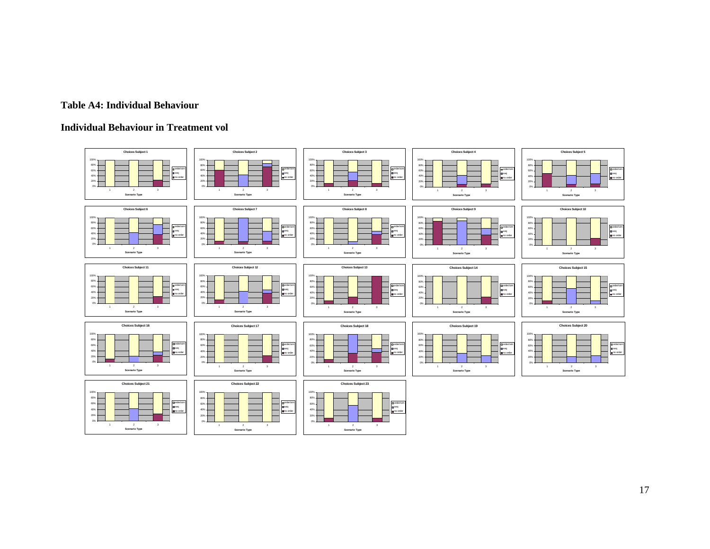#### **Table A4: Individual Behaviour**

#### **Individual Behaviour in Treatment vol**



17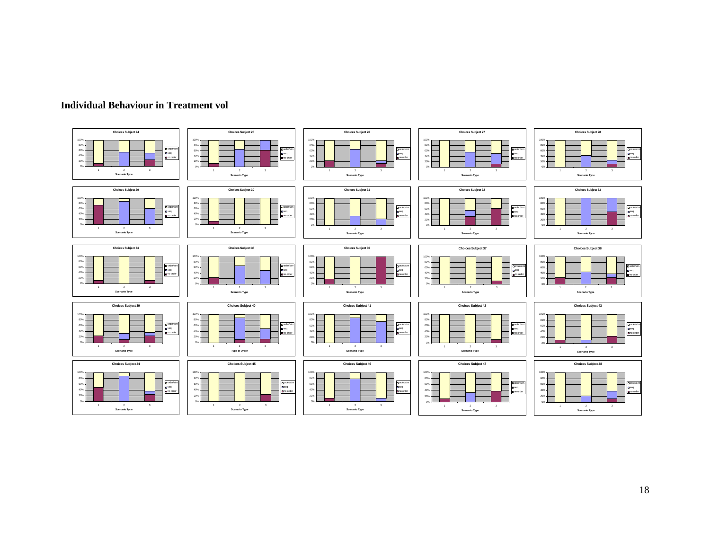

#### **Individual Behaviour in Treatment vol**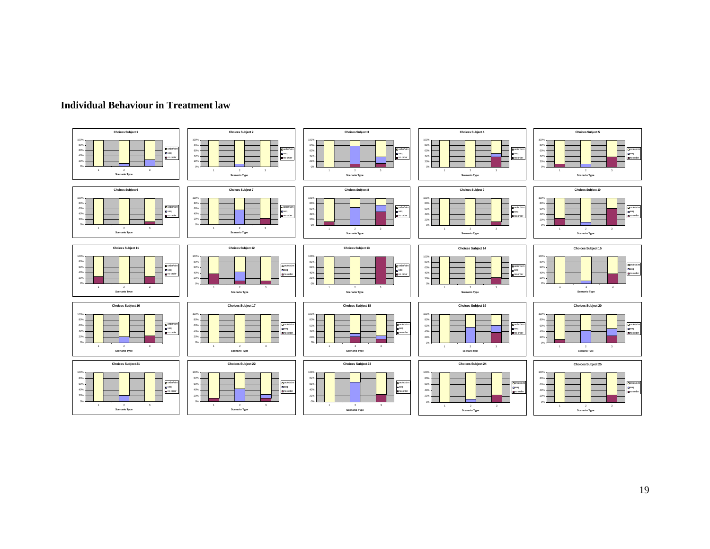

#### **Individual Behaviour in Treatment law**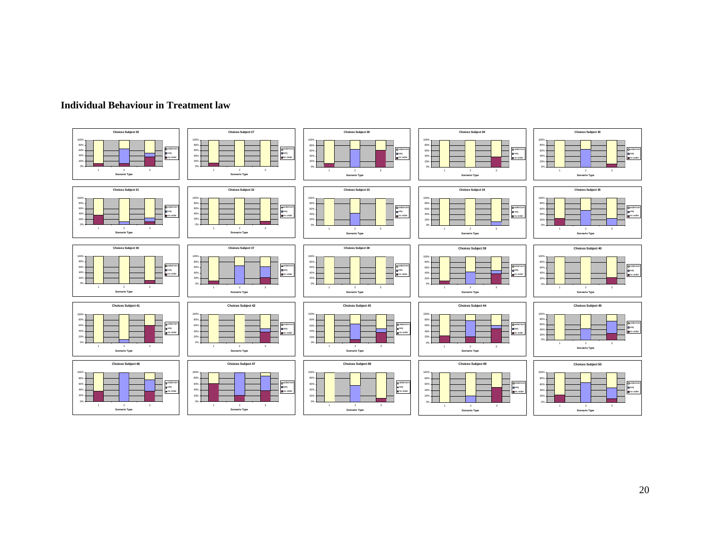

#### **Individual Behaviour in Treatment law**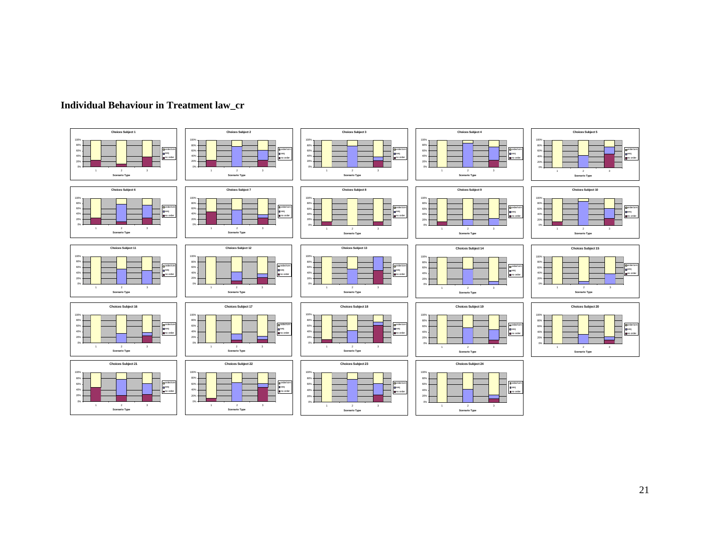

## **Individual Behaviour in Treatment law\_cr**